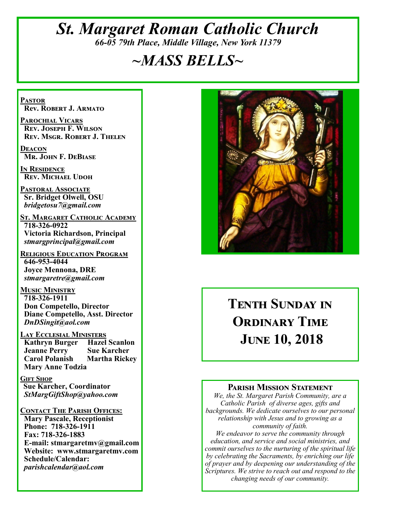# *St. Margaret Roman Catholic Church 66-05 79th Place, Middle Village, New York 11379*

# *~MASS BELLS~*

**Pastor Rev. Robert J. Armato**

**Parochial Vicars Rev. Joseph F. Wilson Rev. Msgr. Robert J. Thelen**

**Deacon Mr. John F. DeBiase** 

**In Residence Rev. Michael Udoh**

**Pastoral Associate Sr. Bridget Olwell, OSU**  *bridgetosu7@gmail.com*

**St. Margaret Catholic Academy 718-326-0922 Victoria Richardson, Principal**  *stmargprincipal@gmail.com*

**Religious Education Program 646-953-4044 Joyce Mennona, DRE** *stmargaretre@gmail.com*

**Music Ministry 718-326-1911 Don Competello, Director Diane Competello, Asst. Director** *DnDSingit@aol.com*

**LAY ECCLESIAL MINISTERS<br>
Kathryn Burger Hazel Scanlon Kathryn Burger Jeanne Perry Sue Karcher<br>Carol Polanish Martha Ricke Martha Rickey Mary Anne Todzia**

**Gift Shop Sue Karcher, Coordinator** *StMargGiftShop@yahoo.com*

**Contact The Parish Offices: Mary Pascale, Receptionist Phone: 718-326-1911 Fax: 718-326-1883 E-mail: stmargaretmv@gmail.com Website: www.stmargaretmv.com Schedule/Calendar:** *parishcalendar@aol.com* 



# **Tenth Sunday in ORDINARY TIME June 10, 2018**

#### **Parish Mission Statement**

*We, the St. Margaret Parish Community, are a Catholic Parish of diverse ages, gifts and backgrounds. We dedicate ourselves to our personal relationship with Jesus and to growing as a community of faith.*

*We endeavor to serve the community through education, and service and social ministries, and commit ourselves to the nurturing of the spiritual life by celebrating the Sacraments, by enriching our life of prayer and by deepening our understanding of the Scriptures. We strive to reach out and respond to the changing needs of our community.*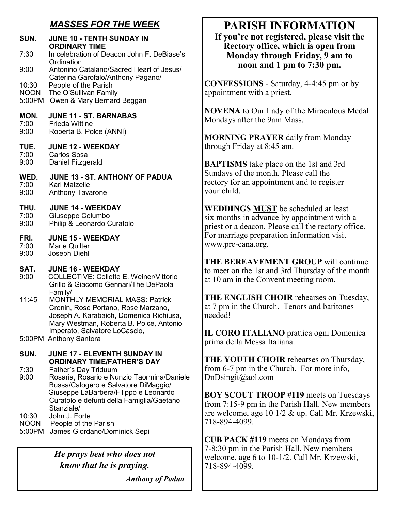# *MASSES FOR THE WEEK*

| SUN.                 | <b>JUNE 10 - TENTH SUNDAY IN</b><br><b>ORDINARY TIME</b>                                                                                                                                     |
|----------------------|----------------------------------------------------------------------------------------------------------------------------------------------------------------------------------------------|
| 7:30                 | In celebration of Deacon John F. DeBiase's<br>Ordination                                                                                                                                     |
| 9:00                 | Antonino Catalano/Sacred Heart of Jesus/<br>Caterina Garofalo/Anthony Pagano/                                                                                                                |
| 10:30                | People of the Parish                                                                                                                                                                         |
| NOON<br>5:00PM       | The O'Sullivan Family<br>Owen & Mary Bernard Beggan                                                                                                                                          |
| MON.<br>7:00         | <b>JUNE 11 - ST. BARNABAS</b><br><b>Frieda Wittine</b>                                                                                                                                       |
| 9:00                 | Roberta B. Polce (ANNI)                                                                                                                                                                      |
| TUE.<br>7:00         | <b>JUNE 12 - WEEKDAY</b><br><b>Carlos Sosa</b>                                                                                                                                               |
| 9:00                 | Daniel Fitzgerald                                                                                                                                                                            |
| WED.<br>7:00<br>9:00 | JUNE 13 - ST. ANTHONY OF PADUA<br>Karl Matzelle<br><b>Anthony Tavarone</b>                                                                                                                   |
| THU.<br>7:00<br>9:00 | <b>JUNE 14 - WEEKDAY</b><br>Giuseppe Columbo<br>Philip & Leonardo Curatolo                                                                                                                   |
| FRI.                 | <b>JUNE 15 - WEEKDAY</b>                                                                                                                                                                     |
| 7:00<br>9:00         | <b>Marie Quilter</b><br>Joseph Diehl                                                                                                                                                         |
| SAT.                 | <b>JUNE 16 - WEEKDAY</b>                                                                                                                                                                     |
| 9:00                 | <b>COLLECTIVE: Collette E. Weiner/Vittorio</b><br>Grillo & Giacomo Gennari/The DePaola<br>Family/                                                                                            |
| 11:45                | MONTHLY MEMORIAL MASS: Patrick<br>Cronin, Rose Portano, Rose Marzano,<br>Joseph A. Karabaich, Domenica Richiusa,<br>Mary Westman, Roberta B. Polce, Antonio<br>Imperato, Salvatore LoCascio, |
|                      | 5:00PM Anthony Santora                                                                                                                                                                       |
| SUN.                 | <b>JUNE 17 - ELEVENTH SUNDAY IN</b><br><b>ORDINARY TIME/FATHER'S DAY</b>                                                                                                                     |
| 7:30<br>9:00         | Father's Day Triduum<br>Rosaria, Rosario e Nunzio Taormina/Daniele                                                                                                                           |
|                      | Bussa/Calogero e Salvatore DiMaggio/<br>Giuseppe LaBarbera/Filippo e Leonardo<br>Curatolo e defunti della Famiglia/Gaetano<br>Stanziale/                                                     |
| 10:30<br>NOON        | John J. Forte<br>People of the Parish                                                                                                                                                        |

5:00PM James Giordano/Dominick Sepi

*He prays best who does not know that he is praying.*

 *Anthony of Padua*

# **PARISH INFORMATION**

**If you're not registered, please visit the Rectory office, which is open from Monday through Friday, 9 am to noon and 1 pm to 7:30 pm.**

**CONFESSIONS** - Saturday, 4-4:45 pm or by appointment with a priest.

**NOVENA** to Our Lady of the Miraculous Medal Mondays after the 9am Mass.

**MORNING PRAYER** daily from Monday through Friday at 8:45 am.

**BAPTISMS** take place on the 1st and 3rd Sundays of the month. Please call the rectory for an appointment and to register your child.

**WEDDINGS MUST** be scheduled at least six months in advance by appointment with a priest or a deacon. Please call the rectory office. For marriage preparation information visit www.pre-cana.org.

**THE BEREAVEMENT GROUP** will continue to meet on the 1st and 3rd Thursday of the month at 10 am in the Convent meeting room.

**THE ENGLISH CHOIR** rehearses on Tuesday, at 7 pm in the Church. Tenors and baritones needed!

**IL CORO ITALIANO** prattica ogni Domenica prima della Messa Italiana.

**THE YOUTH CHOIR** rehearses on Thursday, from 6-7 pm in the Church. For more info, DnDsingit@aol.com

**BOY SCOUT TROOP #119** meets on Tuesdays from 7:15-9 pm in the Parish Hall. New members are welcome, age 10 1/2 & up. Call Mr. Krzewski, 718-894-4099.

**CUB PACK #119** meets on Mondays from 7-8:30 pm in the Parish Hall. New members welcome, age 6 to 10-1/2. Call Mr. Krzewski, 718-894-4099.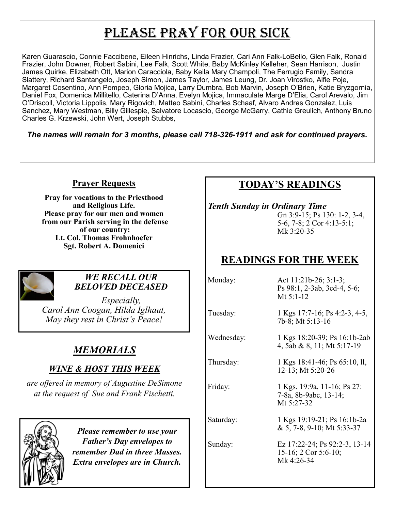# PLEASE PRAY FOR OUR SICK

Karen Guarascio, Connie Faccibene, Eileen Hinrichs, Linda Frazier, Cari Ann Falk-LoBello, Glen Falk, Ronald Frazier, John Downer, Robert Sabini, Lee Falk, Scott White, Baby McKinley Kelleher, Sean Harrison, Justin James Quirke, Elizabeth Ott, Marion Caracciola, Baby Keila Mary Champoli, The Ferrugio Family, Sandra Slattery, Richard Santangelo, Joseph Simon, James Taylor, James Leung, Dr. Joan Virostko, Alfie Poje, Margaret Cosentino, Ann Pompeo, Gloria Mojica, Larry Dumbra, Bob Marvin, Joseph O'Brien, Katie Bryzgornia, Daniel Fox, Domenica Millitello, Caterina D'Anna, Evelyn Mojica, Immaculate Marge D'Elia, Carol Arevalo, Jim O'Driscoll, Victoria Lippolis, Mary Rigovich, Matteo Sabini, Charles Schaaf, Alvaro Andres Gonzalez, Luis Sanchez, Mary Westman, Billy Gillespie, Salvatore Locascio, George McGarry, Cathie Greulich, Anthony Bruno Charles G. Krzewski, John Wert, Joseph Stubbs,

*The names will remain for 3 months, please call 718-326-1911 and ask for continued prayers.*

## **Prayer Requests**

**Pray for vocations to the Priesthood and Religious Life. Please pray for our men and women from our Parish serving in the defense of our country: Lt. Col. Thomas Frohnhoefer Sgt. Robert A. Domenici** 



#### *WE RECALL OUR BELOVED DECEASED*

*Especially, Carol Ann Coogan, Hilda Iglhaut, May they rest in Christ's Peace!*

# *MEMORIALS*

# *WINE & HOST THIS WEEK*

*are offered in memory of Augustine DeSimone at the request of Sue and Frank Fischetti.* 



*Please remember to use your Father's Day envelopes to remember Dad in three Masses. Extra envelopes are in Church.*

# **TODAY'S READINGS**

*Tenth Sunday in Ordinary Time*  Gn 3:9-15; Ps 130: 1-2, 3-4, 5-6, 7-8; 2 Cor 4:13-5:1; Mk 3:20-35

# **READINGS FOR THE WEEK**

Monday: Act 11:21b-26; 3:1-3; Ps 98:1, 2-3ab, 3cd-4, 5-6; Mt  $5:1-12$ 

Tuesday: 1 Kgs 17:7-16; Ps 4:2-3, 4-5, 7b-8; Mt 5:13-16

Wednesday: 1 Kgs 18:20-39; Ps 16:1b-2ab 4, 5ab & 8, 11; Mt 5:17-19

Thursday: 1 Kgs 18:41-46; Ps 65:10, ll, 12-13; Mt 5:20-26

Friday: 1 Kgs. 19:9a, 11-16; Ps 27: 7-8a, 8b-9abc, 13-14; Mt 5:27-32

Saturday: 1 Kgs 19:19-21; Ps 16:1b-2a & 5, 7-8, 9-10; Mt 5:33-37

Sunday: Ez 17:22-24; Ps 92:2-3, 13-14 15-16; 2 Cor 5:6-10; Mk 4:26-34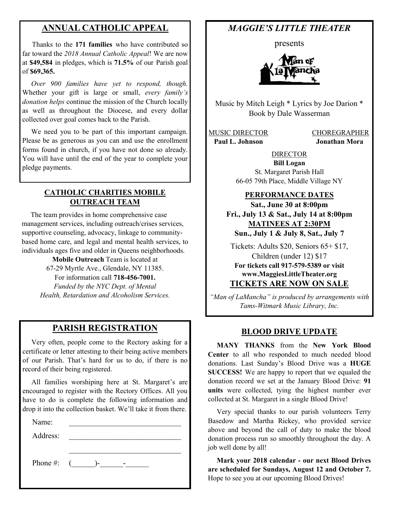## **ANNUAL CATHOLIC APPEAL**

 Thanks to the **171 families** who have contributed so far toward the *2018 Annual Catholic Appeal*! We are now at **\$49,584** in pledges, which is **71.5%** of our Parish goal of **\$69,365.**

 *Over 900 families have yet to respond, though.*  Whether your gift is large or small, *every family's donation helps* continue the mission of the Church locally as well as throughout the Diocese, and every dollar collected over goal comes back to the Parish.

 We need you to be part of this important campaign. Please be as generous as you can and use the enrollment forms found in church, if you have not done so already. You will have until the end of the year to complete your pledge payments.

#### **CATHOLIC CHARITIES MOBILE OUTREACH TEAM**

 The team provides in home comprehensive case management services, including outreach/crises services, supportive counseling, advocacy, linkage to communitybased home care, and legal and mental health services, to individuals ages five and older in Queens neighborhoods.

> **Mobile Outreach** Team is located at 67-29 Myrtle Ave., Glendale, NY 11385. For information call **718-456-7001.**  *Funded by the NYC Dept. of Mental Health, Retardation and Alcoholism Services.*

#### **PARISH REGISTRATION**

 Very often, people come to the Rectory asking for a certificate or letter attesting to their being active members of our Parish. That's hard for us to do, if there is no record of their being registered.

 All families worshiping here at St. Margaret's are encouraged to register with the Rectory Offices. All you have to do is complete the following information and drop it into the collection basket. We'll take it from there.

| Name:    |                            |
|----------|----------------------------|
| Address: |                            |
|          |                            |
| Phone #: | $\sqrt{2}$<br>$\mathbf{r}$ |

# *MAGGIE'S LITTLE THEATER*

presents



Music by Mitch Leigh \* Lyrics by Joe Darion \* Book by Dale Wasserman

MUSIC DIRECTOR CHOREGRAPHER  **Paul L. Johnson Jonathan Mora**

DIRECTOR **Bill Logan** St. Margaret Parish Hall 66-05 79th Place, Middle Village NY

#### **PERFORMANCE DATES**

**Sat., June 30 at 8:00pm Fri., July 13 & Sat., July 14 at 8:00pm MATINEES AT 2:30PM Sun., July 1 & July 8, Sat., July 7**

Tickets: Adults \$20, Seniors 65+ \$17, Children (under 12) \$17 **For tickets call 917-579-5389 or visit www.MaggiesLittleTheater.org TICKETS ARE NOW ON SALE**

*"Man of LaMancha" is produced by arrangements with Tams-Witmark Music Library, Inc.*

#### **BLOOD DRIVE UPDATE**

 **MANY THANKS** from the **New York Blood Center** to all who responded to much needed blood donations. Last Sunday's Blood Drive was a **HUGE SUCCESS!** We are happy to report that we equaled the donation record we set at the January Blood Drive: **91 units** were collected, tying the highest number ever collected at St. Margaret in a single Blood Drive!

 Very special thanks to our parish volunteers Terry Basedow and Martha Rickey, who provided service above and beyond the call of duty to make the blood donation process run so smoothly throughout the day. A job well done by all!

 **Mark your 2018 calendar - our next Blood Drives are scheduled for Sundays, August 12 and October 7.**  Hope to see you at our upcoming Blood Drives!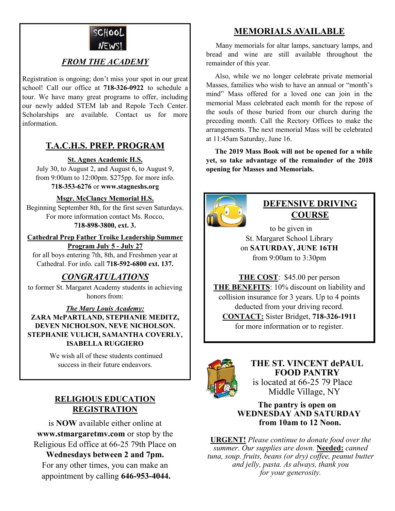

## *FROM THE ACADEMY*

Registration is ongoing; don't miss your spot in our great school! Call our office at **718-326-0922** to schedule a tour. We have many great programs to offer, including our newly added STEM lab and Repole Tech Center. Scholarships are available. Contact us for more information.

# **T.A.C.H.S. PREP. PROGRAM**

#### **St. Agnes Academic H.S.**

July 30, to August 2, and August 6, to August 9, from 9:00am to 12:00pm. \$275pp. for more info. **718-353-6276** or **www.stagneshs.org**

#### **Msgr. McClancy Memorial H.S.**

Beginning September 8th, for the first seven Saturdays. For more information contact Ms. Rocco, **718-898-3800, ext. 3.**

**Cathedral Prep Father Troike Leadership Summer Program July 5 - July 27**

for all boys entering 7th, 8th, and Freshmen year at Cathedral. For info. call **718-592-6800 ext. 137.**

## *CONGRATULATIONS*

to former St. Margaret Academy students in achieving honors from:

*The Mary Louis Academy:* **ZARA McPARTLAND, STEPHANIE MEDITZ, DEVEN NICHOLSON, NEVE NICHOLSON. STEPHANIE VULICH, SAMANTHA COVERLY, ISABELLA RUGGIERO**

> We wish all of these students continued success in their future endeavors.

## **RELIGIOUS EDUCATION REGISTRATION**

is **NOW** available either online at **www.stmargaretmv.com** or stop by the Religious Ed office at 66-25 79th Place on

**Wednesdays between 2 and 7pm.**  For any other times, you can make an appointment by calling **646-953-4044.** 

# **MEMORIALS AVAILABLE**

Many memorials for altar lamps, sanctuary lamps, and bread and wine are still available throughout the remainder of this year.

 Also, while we no longer celebrate private memorial Masses, families who wish to have an annual or "month's mind" Mass offered for a loved one can join in the memorial Mass celebrated each month for the repose of the souls of those buried from our church during the preceding month. Call the Rectory Offices to make the arrangements. The next memorial Mass will be celebrated at 11:45am Saturday, June 16.

 **The 2019 Mass Book will not be opened for a while yet, so take advantage of the remainder of the 2018 opening for Masses and Memorials.**



# **DEFENSIVE DRIVING COURSE**

 to be given in St. Margaret School Library on **SATURDAY, JUNE 16TH** from 9:00am to 3:30pm

**THE COST**: \$45.00 per person **THE BENEFITS**: 10% discount on liability and collision insurance for 3 years. Up to 4 points deducted from your driving record. **CONTACT:** Sister Bridget, **718-326-1911** for more information or to register.



**THE ST. VINCENT dePAUL FOOD PANTRY** is located at 66-25 79 Place Middle Village, NY

 **The pantry is open on WEDNESDAY AND SATURDAY from 10am to 12 Noon.**

**URGENT!** *Please continue to donate food over the summer. Our supplies are down.* **Needed:** *canned tuna, soup. fruits, beans (or dry) coffee, peanut butter and jelly, pasta. As always, thank you for your generosity.*